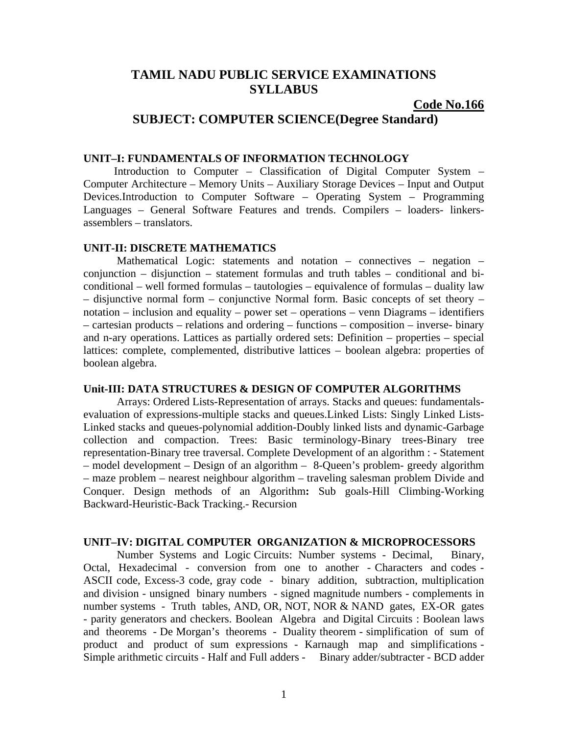# **TAMIL NADU PUBLIC SERVICE EXAMINATIONS SYLLABUS**

### **Code No.166**

# **SUBJECT: COMPUTER SCIENCE(Degree Standard)**

#### **UNIT–I: FUNDAMENTALS OF INFORMATION TECHNOLOGY**

 Introduction to Computer – Classification of Digital Computer System – Computer Architecture – Memory Units – Auxiliary Storage Devices – Input and Output Devices.Introduction to Computer Software – Operating System – Programming Languages – General Software Features and trends. Compilers – loaders- linkersassemblers – translators.

#### **UNIT-II: DISCRETE MATHEMATICS**

Mathematical Logic: statements and notation – connectives – negation – conjunction – disjunction – statement formulas and truth tables – conditional and biconditional – well formed formulas – tautologies – equivalence of formulas – duality law – disjunctive normal form – conjunctive Normal form. Basic concepts of set theory – notation – inclusion and equality – power set – operations – venn Diagrams – identifiers – cartesian products – relations and ordering – functions – composition – inverse- binary and n-ary operations. Lattices as partially ordered sets: Definition – properties – special lattices: complete, complemented, distributive lattices – boolean algebra: properties of boolean algebra.

# **Unit-III: DATA STRUCTURES & DESIGN OF COMPUTER ALGORITHMS**

 Arrays: Ordered Lists-Representation of arrays. Stacks and queues: fundamentalsevaluation of expressions-multiple stacks and queues.Linked Lists: Singly Linked Lists-Linked stacks and queues-polynomial addition-Doubly linked lists and dynamic-Garbage collection and compaction. Trees: Basic terminology-Binary trees-Binary tree representation-Binary tree traversal. Complete Development of an algorithm : - Statement – model development – Design of an algorithm – 8-Queen's problem- greedy algorithm – maze problem – nearest neighbour algorithm – traveling salesman problem Divide and Conquer. Design methods of an Algorithm**:** Sub goals-Hill Climbing-Working Backward-Heuristic-Back Tracking.- Recursion

#### **UNIT–IV: DIGITAL COMPUTER ORGANIZATION & MICROPROCESSORS**

 Number Systems and Logic Circuits: Number systems - Decimal, Binary, Octal, Hexadecimal - conversion from one to another - Characters and codes - ASCII code, Excess-3 code, gray code - binary addition, subtraction, multiplication and division - unsigned binary numbers - signed magnitude numbers - complements in number systems - Truth tables, AND, OR, NOT, NOR & NAND gates, EX-OR gates - parity generators and checkers. Boolean Algebra and Digital Circuits : Boolean laws and theorems - De Morgan's theorems - Duality theorem - simplification of sum of product and product of sum expressions - Karnaugh map and simplifications - Simple arithmetic circuits - Half and Full adders - Binary adder/subtracter - BCD adder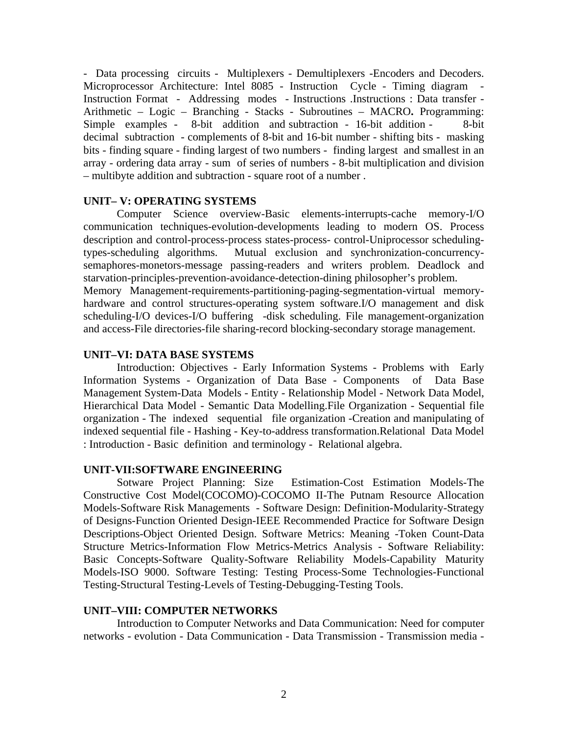- Data processing circuits - Multiplexers - Demultiplexers -Encoders and Decoders. Microprocessor Architecture: Intel 8085 - Instruction Cycle - Timing diagram - Instruction Format - Addressing modes - Instructions .Instructions : Data transfer - Arithmetic – Logic – Branching - Stacks - Subroutines – MACRO**.** Programming: Simple examples - 8-bit addition and subtraction - 16-bit addition - 8-bit decimal subtraction - complements of 8-bit and 16-bit number - shifting bits - masking bits - finding square - finding largest of two numbers - finding largest and smallest in an array - ordering data array - sum of series of numbers - 8-bit multiplication and division – multibyte addition and subtraction - square root of a number .

# **UNIT– V: OPERATING SYSTEMS**

 Computer Science overview-Basic elements-interrupts-cache memory-I/O communication techniques-evolution-developments leading to modern OS. Process description and control-process-process states-process- control-Uniprocessor schedulingtypes-scheduling algorithms. Mutual exclusion and synchronization-concurrencysemaphores-monetors-message passing-readers and writers problem. Deadlock and starvation-principles-prevention-avoidance-detection-dining philosopher's problem. Memory Management-requirements-partitioning-paging-segmentation-virtual memoryhardware and control structures-operating system software.I/O management and disk scheduling-I/O devices-I/O buffering -disk scheduling. File management-organization

and access-File directories-file sharing-record blocking-secondary storage management.

#### **UNIT–VI: DATA BASE SYSTEMS**

 Introduction: Objectives - Early Information Systems - Problems with Early Information Systems - Organization of Data Base - Components of Data Base Management System-Data Models - Entity - Relationship Model - Network Data Model, Hierarchical Data Model - Semantic Data Modelling.File Organization - Sequential file organization - The indexed sequential file organization -Creation and manipulating of indexed sequential file - Hashing - Key-to-address transformation.Relational Data Model : Introduction - Basic definition and terminology - Relational algebra.

#### **UNIT-VII:SOFTWARE ENGINEERING**

Sotware Project Planning: Size Estimation-Cost Estimation Models-The Constructive Cost Model(COCOMO)-COCOMO II-The Putnam Resource Allocation Models-Software Risk Managements - Software Design: Definition-Modularity-Strategy of Designs-Function Oriented Design-IEEE Recommended Practice for Software Design Descriptions-Object Oriented Design. Software Metrics: Meaning -Token Count-Data Structure Metrics-Information Flow Metrics-Metrics Analysis - Software Reliability: Basic Concepts-Software Quality-Software Reliability Models-Capability Maturity Models-ISO 9000. Software Testing: Testing Process-Some Technologies-Functional Testing-Structural Testing-Levels of Testing-Debugging-Testing Tools.

#### **UNIT–VIII: COMPUTER NETWORKS**

 Introduction to Computer Networks and Data Communication: Need for computer networks - evolution - Data Communication - Data Transmission - Transmission media -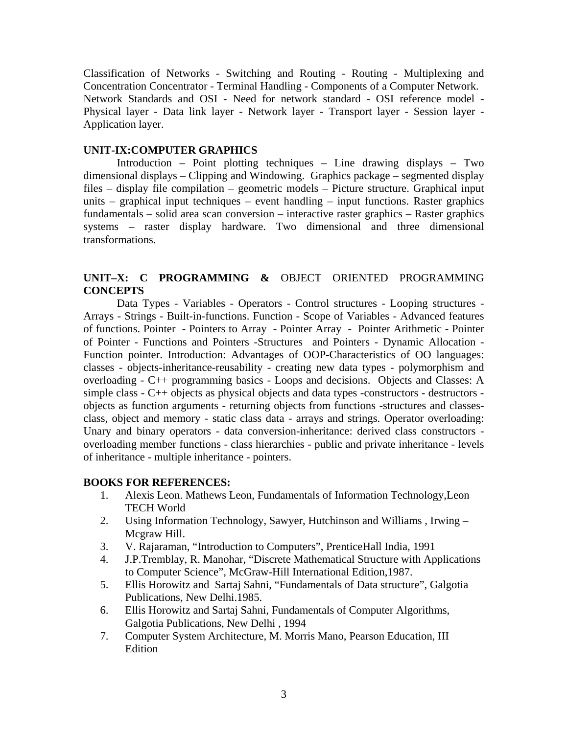Classification of Networks - Switching and Routing - Routing - Multiplexing and Concentration Concentrator - Terminal Handling - Components of a Computer Network. Network Standards and OSI - Need for network standard - OSI reference model - Physical layer - Data link layer - Network layer - Transport layer - Session layer - Application layer.

# **UNIT-IX:COMPUTER GRAPHICS**

 Introduction – Point plotting techniques – Line drawing displays – Two dimensional displays – Clipping and Windowing. Graphics package – segmented display files – display file compilation – geometric models – Picture structure. Graphical input units – graphical input techniques – event handling – input functions. Raster graphics fundamentals – solid area scan conversion – interactive raster graphics – Raster graphics systems – raster display hardware. Two dimensional and three dimensional transformations.

# **UNIT–X: C PROGRAMMING &** OBJECT ORIENTED PROGRAMMING **CONCEPTS**

 Data Types - Variables - Operators - Control structures - Looping structures - Arrays - Strings - Built-in-functions. Function - Scope of Variables - Advanced features of functions. Pointer - Pointers to Array - Pointer Array - Pointer Arithmetic - Pointer of Pointer - Functions and Pointers -Structures and Pointers - Dynamic Allocation - Function pointer. Introduction: Advantages of OOP-Characteristics of OO languages: classes - objects-inheritance-reusability - creating new data types - polymorphism and overloading - C++ programming basics - Loops and decisions. Objects and Classes: A simple class - C++ objects as physical objects and data types -constructors - destructors objects as function arguments - returning objects from functions -structures and classesclass, object and memory - static class data - arrays and strings. Operator overloading: Unary and binary operators - data conversion-inheritance: derived class constructors overloading member functions - class hierarchies - public and private inheritance - levels of inheritance - multiple inheritance - pointers.

# **BOOKS FOR REFERENCES:**

- 1.Alexis Leon. Mathews Leon, Fundamentals of Information Technology,Leon TECH World
- 2. Using Information Technology, Sawyer, Hutchinson and Williams , Irwing Mcgraw Hill.
- 3. V. Rajaraman, "Introduction to Computers", PrenticeHall India, 1991
- 4. J.P.Tremblay, R. Manohar, "Discrete Mathematical Structure with Applications to Computer Science", McGraw-Hill International Edition,1987.
- 5. Ellis Horowitz and Sartaj Sahni, "Fundamentals of Data structure", Galgotia Publications, New Delhi.1985.
- 6. Ellis Horowitz and Sartaj Sahni, Fundamentals of Computer Algorithms, Galgotia Publications, New Delhi , 1994
- 7. Computer System Architecture, M. Morris Mano, Pearson Education, III Edition